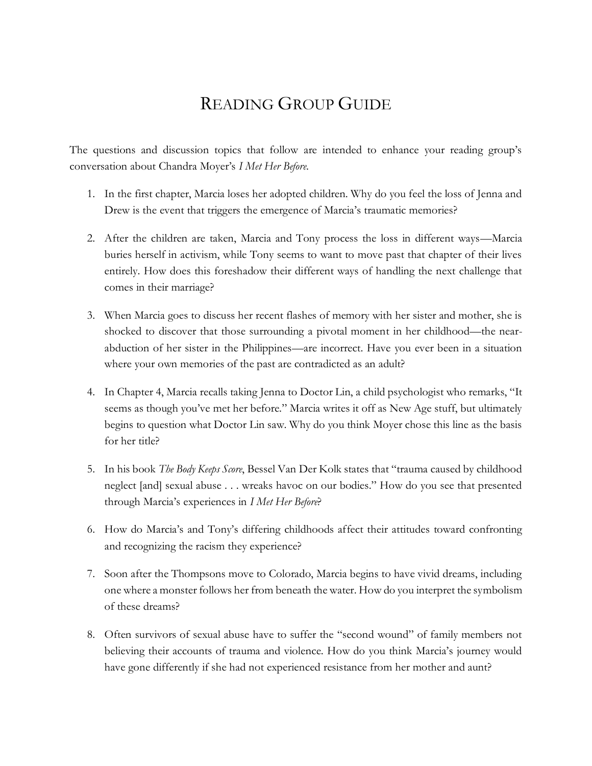## READING GROUP GUIDE

The questions and discussion topics that follow are intended to enhance your reading group's conversation about Chandra Moyer's *I Met Her Before*.

- 1. In the first chapter, Marcia loses her adopted children. Why do you feel the loss of Jenna and Drew is the event that triggers the emergence of Marcia's traumatic memories?
- 2. After the children are taken, Marcia and Tony process the loss in different ways—Marcia buries herself in activism, while Tony seems to want to move past that chapter of their lives entirely. How does this foreshadow their different ways of handling the next challenge that comes in their marriage?
- 3. When Marcia goes to discuss her recent flashes of memory with her sister and mother, she is shocked to discover that those surrounding a pivotal moment in her childhood—the nearabduction of her sister in the Philippines—are incorrect. Have you ever been in a situation where your own memories of the past are contradicted as an adult?
- 4. In Chapter 4, Marcia recalls taking Jenna to Doctor Lin, a child psychologist who remarks, "It seems as though you've met her before." Marcia writes it off as New Age stuff, but ultimately begins to question what Doctor Lin saw. Why do you think Moyer chose this line as the basis for her title?
- 5. In his book *The Body Keeps Score*, Bessel Van Der Kolk states that "trauma caused by childhood neglect [and] sexual abuse . . . wreaks havoc on our bodies." How do you see that presented through Marcia's experiences in *I Met Her Before*?
- 6. How do Marcia's and Tony's differing childhoods affect their attitudes toward confronting and recognizing the racism they experience?
- 7. Soon after the Thompsons move to Colorado, Marcia begins to have vivid dreams, including one where a monster follows her from beneath the water. How do you interpret the symbolism of these dreams?
- 8. Often survivors of sexual abuse have to suffer the "second wound" of family members not believing their accounts of trauma and violence. How do you think Marcia's journey would have gone differently if she had not experienced resistance from her mother and aunt?